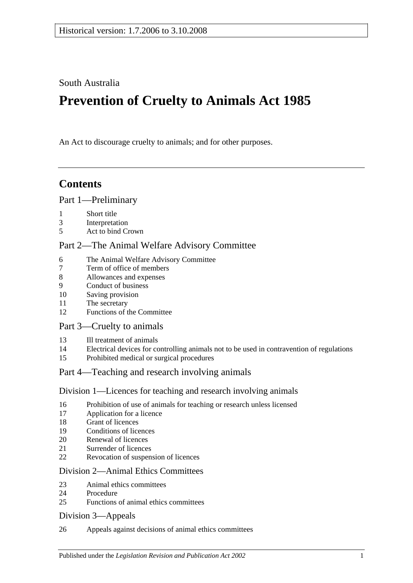South Australia

# **Prevention of Cruelty to Animals Act 1985**

An Act to discourage cruelty to animals; and for other purposes.

## **Contents**

## [Part 1—Preliminary](#page-1-0)

- [Short title](#page-1-1)
- [Interpretation](#page-1-2)
- [Act to bind Crown](#page-2-0)

## [Part 2—The Animal Welfare Advisory Committee](#page-2-1)

- [The Animal Welfare Advisory Committee](#page-2-2)
- [Term of office of members](#page-3-0)<br>8 Allowances and expenses
- [Allowances and expenses](#page-3-1)
- [Conduct of business](#page-3-2)
- [Saving provision](#page-4-0)
- [The secretary](#page-4-1)
- [Functions of the Committee](#page-4-2)

## [Part 3—Cruelty to animals](#page-4-3)

- [Ill treatment of animals](#page-4-4)
- [Electrical devices for controlling animals not to be used in contravention of regulations](#page-5-0)
- [Prohibited medical or surgical procedures](#page-5-1)

## [Part 4—Teaching and research involving animals](#page-5-2)

## [Division 1—Licences for teaching and research involving animals](#page-5-3)

- [Prohibition of use of animals for teaching or research unless licensed](#page-5-4)
- [Application for a licence](#page-6-0)
- [Grant of licences](#page-6-1)
- [Conditions of licences](#page-6-2)
- [Renewal of licences](#page-7-0)
- [Surrender of licences](#page-7-1)
- [Revocation of suspension of licences](#page-7-2)

## [Division 2—Animal Ethics Committees](#page-7-3)

- [Animal ethics committees](#page-7-4)
- [Procedure](#page-8-0)
- [Functions of animal ethics committees](#page-8-1)

## [Division 3—Appeals](#page-9-0)

[Appeals against decisions of animal ethics committees](#page-9-1)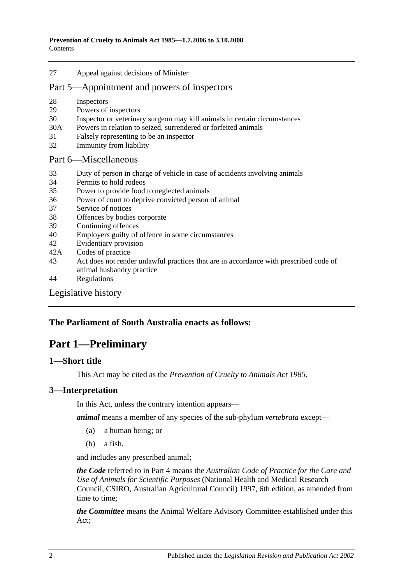27 [Appeal against decisions of Minister](#page-9-2)

## [Part 5—Appointment and powers of inspectors](#page-10-0)

- 28 [Inspectors](#page-10-1)
- 29 [Powers of inspectors](#page-10-2)
- 30 [Inspector or veterinary surgeon may kill animals in certain circumstances](#page-12-0)
- 30A Powers in relation [to seized, surrendered or forfeited animals](#page-12-1)
- 31 [Falsely representing to be an inspector](#page-13-0)
- 32 [Immunity from liability](#page-13-1)

#### [Part 6—Miscellaneous](#page-13-2)

- 33 [Duty of person in charge of vehicle in case of accidents involving animals](#page-13-3)
- 34 [Permits to hold rodeos](#page-13-4)
- 35 [Power to provide food to neglected animals](#page-14-0)
- 36 [Power of court to deprive convicted person of animal](#page-14-1)
- 37 [Service of notices](#page-14-2)
- 38 [Offences by bodies corporate](#page-14-3)
- 39 [Continuing offences](#page-14-4)
- 40 [Employers guilty of offence in some circumstances](#page-15-0)
- 42 [Evidentiary provision](#page-15-1)
- 42A [Codes of practice](#page-15-2)
- 43 [Act does not render unlawful practices that are in accordance with prescribed code of](#page-15-3)  [animal husbandry practice](#page-15-3)
- 44 [Regulations](#page-15-4)

## [Legislative history](#page-17-0)

## <span id="page-1-0"></span>**The Parliament of South Australia enacts as follows:**

## **Part 1—Preliminary**

### <span id="page-1-1"></span>**1—Short title**

This Act may be cited as the *Prevention of Cruelty to Animals Act 1985*.

## <span id="page-1-2"></span>**3—Interpretation**

In this Act, unless the contrary intention appears—

*animal* means a member of any species of the sub-phylum *vertebrata* except—

- (a) a human being; or
- (b) a fish,

and includes any prescribed animal;

*the Code* referred to in [Part 4](#page-5-2) means the *Australian Code of Practice for the Care and Use of Animals for Scientific Purposes* (National Health and Medical Research Council, CSIRO, Australian Agricultural Council) 1997, 6th edition, as amended from time to time;

*the Committee* means the Animal Welfare Advisory Committee established under this Act;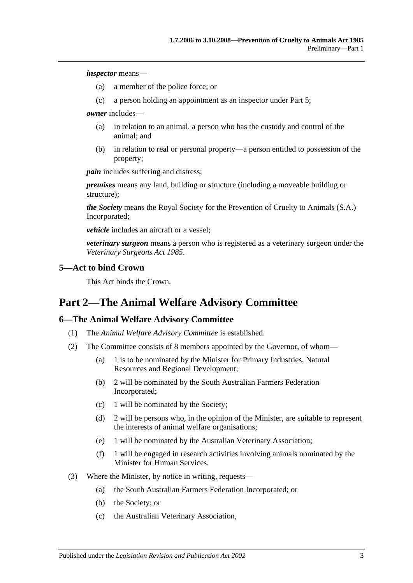*inspector* means—

- (a) a member of the police force; or
- (c) a person holding an appointment as an inspector under [Part 5;](#page-10-0)

*owner* includes—

- (a) in relation to an animal, a person who has the custody and control of the animal; and
- (b) in relation to real or personal property—a person entitled to possession of the property;

*pain* includes suffering and distress;

*premises* means any land, building or structure (including a moveable building or structure);

*the Society* means the Royal Society for the Prevention of Cruelty to Animals (S.A.) Incorporated;

*vehicle* includes an aircraft or a vessel;

*veterinary surgeon* means a person who is registered as a veterinary surgeon under the *[Veterinary Surgeons Act](http://www.legislation.sa.gov.au/index.aspx?action=legref&type=act&legtitle=Veterinary%20Surgeons%20Act%201985) 1985*.

### <span id="page-2-0"></span>**5—Act to bind Crown**

This Act binds the Crown.

## <span id="page-2-1"></span>**Part 2—The Animal Welfare Advisory Committee**

## <span id="page-2-2"></span>**6—The Animal Welfare Advisory Committee**

- (1) The *Animal Welfare Advisory Committee* is established.
- (2) The Committee consists of 8 members appointed by the Governor, of whom—
	- (a) 1 is to be nominated by the Minister for Primary Industries, Natural Resources and Regional Development;
	- (b) 2 will be nominated by the South Australian Farmers Federation Incorporated;
	- (c) 1 will be nominated by the Society;
	- (d) 2 will be persons who, in the opinion of the Minister, are suitable to represent the interests of animal welfare organisations;
	- (e) 1 will be nominated by the Australian Veterinary Association;
	- (f) 1 will be engaged in research activities involving animals nominated by the Minister for Human Services.
- (3) Where the Minister, by notice in writing, requests—
	- (a) the South Australian Farmers Federation Incorporated; or
	- (b) the Society; or
	- (c) the Australian Veterinary Association,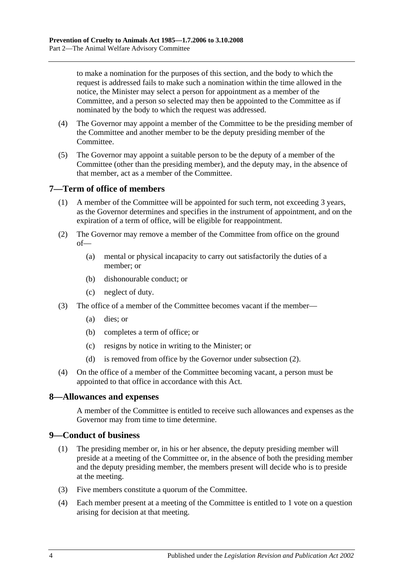to make a nomination for the purposes of this section, and the body to which the request is addressed fails to make such a nomination within the time allowed in the notice, the Minister may select a person for appointment as a member of the Committee, and a person so selected may then be appointed to the Committee as if nominated by the body to which the request was addressed.

- (4) The Governor may appoint a member of the Committee to be the presiding member of the Committee and another member to be the deputy presiding member of the Committee.
- (5) The Governor may appoint a suitable person to be the deputy of a member of the Committee (other than the presiding member), and the deputy may, in the absence of that member, act as a member of the Committee.

## <span id="page-3-0"></span>**7—Term of office of members**

- (1) A member of the Committee will be appointed for such term, not exceeding 3 years, as the Governor determines and specifies in the instrument of appointment, and on the expiration of a term of office, will be eligible for reappointment.
- <span id="page-3-3"></span>(2) The Governor may remove a member of the Committee from office on the ground of—
	- (a) mental or physical incapacity to carry out satisfactorily the duties of a member; or
	- (b) dishonourable conduct; or
	- (c) neglect of duty.
- (3) The office of a member of the Committee becomes vacant if the member—
	- (a) dies; or
	- (b) completes a term of office; or
	- (c) resigns by notice in writing to the Minister; or
	- (d) is removed from office by the Governor under [subsection](#page-3-3) (2).
- (4) On the office of a member of the Committee becoming vacant, a person must be appointed to that office in accordance with this Act.

## <span id="page-3-1"></span>**8—Allowances and expenses**

A member of the Committee is entitled to receive such allowances and expenses as the Governor may from time to time determine.

## <span id="page-3-2"></span>**9—Conduct of business**

- (1) The presiding member or, in his or her absence, the deputy presiding member will preside at a meeting of the Committee or, in the absence of both the presiding member and the deputy presiding member, the members present will decide who is to preside at the meeting.
- (3) Five members constitute a quorum of the Committee.
- (4) Each member present at a meeting of the Committee is entitled to 1 vote on a question arising for decision at that meeting.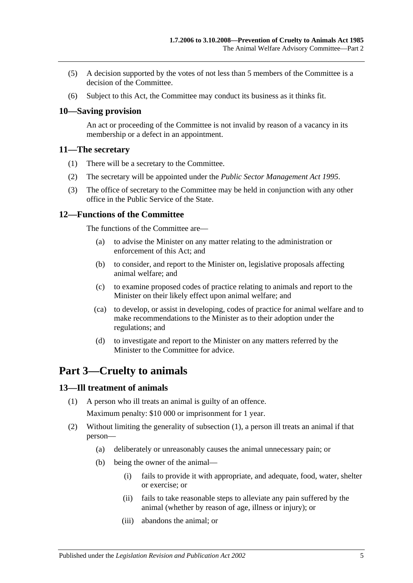- (5) A decision supported by the votes of not less than 5 members of the Committee is a decision of the Committee.
- (6) Subject to this Act, the Committee may conduct its business as it thinks fit.

## <span id="page-4-0"></span>**10—Saving provision**

An act or proceeding of the Committee is not invalid by reason of a vacancy in its membership or a defect in an appointment.

### <span id="page-4-1"></span>**11—The secretary**

- (1) There will be a secretary to the Committee.
- (2) The secretary will be appointed under the *[Public Sector Management Act](http://www.legislation.sa.gov.au/index.aspx?action=legref&type=act&legtitle=Public%20Sector%20Management%20Act%201995) 1995*.
- (3) The office of secretary to the Committee may be held in conjunction with any other office in the Public Service of the State.

### <span id="page-4-2"></span>**12—Functions of the Committee**

The functions of the Committee are—

- (a) to advise the Minister on any matter relating to the administration or enforcement of this Act; and
- (b) to consider, and report to the Minister on, legislative proposals affecting animal welfare; and
- (c) to examine proposed codes of practice relating to animals and report to the Minister on their likely effect upon animal welfare; and
- (ca) to develop, or assist in developing, codes of practice for animal welfare and to make recommendations to the Minister as to their adoption under the regulations; and
- (d) to investigate and report to the Minister on any matters referred by the Minister to the Committee for advice.

## <span id="page-4-3"></span>**Part 3—Cruelty to animals**

### <span id="page-4-5"></span><span id="page-4-4"></span>**13—Ill treatment of animals**

- (1) A person who ill treats an animal is guilty of an offence. Maximum penalty: \$10 000 or imprisonment for 1 year.
- (2) Without limiting the generality of [subsection](#page-4-5) (1), a person ill treats an animal if that person—
	- (a) deliberately or unreasonably causes the animal unnecessary pain; or
	- (b) being the owner of the animal—
		- (i) fails to provide it with appropriate, and adequate, food, water, shelter or exercise; or
		- (ii) fails to take reasonable steps to alleviate any pain suffered by the animal (whether by reason of age, illness or injury); or
		- (iii) abandons the animal; or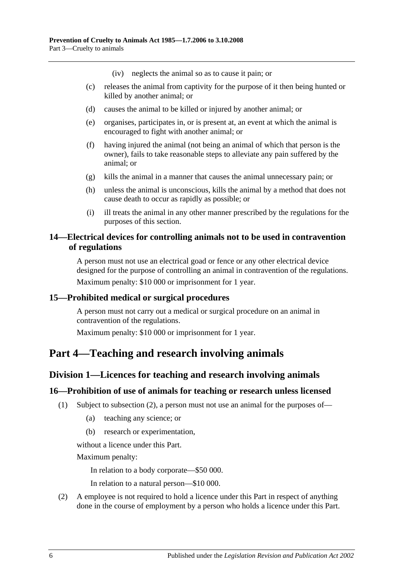(iv) neglects the animal so as to cause it pain; or

- (c) releases the animal from captivity for the purpose of it then being hunted or killed by another animal; or
- (d) causes the animal to be killed or injured by another animal; or
- (e) organises, participates in, or is present at, an event at which the animal is encouraged to fight with another animal; or
- (f) having injured the animal (not being an animal of which that person is the owner), fails to take reasonable steps to alleviate any pain suffered by the animal; or
- (g) kills the animal in a manner that causes the animal unnecessary pain; or
- (h) unless the animal is unconscious, kills the animal by a method that does not cause death to occur as rapidly as possible; or
- (i) ill treats the animal in any other manner prescribed by the regulations for the purposes of this section.

## <span id="page-5-0"></span>**14—Electrical devices for controlling animals not to be used in contravention of regulations**

A person must not use an electrical goad or fence or any other electrical device designed for the purpose of controlling an animal in contravention of the regulations. Maximum penalty: \$10 000 or imprisonment for 1 year.

### <span id="page-5-1"></span>**15—Prohibited medical or surgical procedures**

A person must not carry out a medical or surgical procedure on an animal in contravention of the regulations.

Maximum penalty: \$10 000 or imprisonment for 1 year.

## <span id="page-5-3"></span><span id="page-5-2"></span>**Part 4—Teaching and research involving animals**

## **Division 1—Licences for teaching and research involving animals**

### <span id="page-5-4"></span>**16—Prohibition of use of animals for teaching or research unless licensed**

- (1) Subject to [subsection](#page-5-5) (2), a person must not use an animal for the purposes of—
	- (a) teaching any science; or
	- (b) research or experimentation,

without a licence under this Part.

Maximum penalty:

In relation to a body corporate—\$50 000.

In relation to a natural person—\$10 000.

<span id="page-5-5"></span>(2) A employee is not required to hold a licence under this Part in respect of anything done in the course of employment by a person who holds a licence under this Part.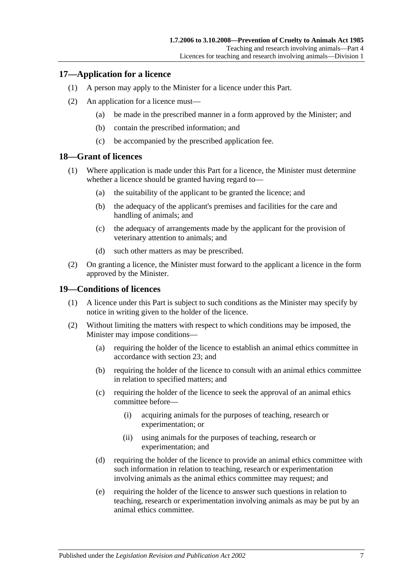## <span id="page-6-0"></span>**17—Application for a licence**

- (1) A person may apply to the Minister for a licence under this Part.
- (2) An application for a licence must—
	- (a) be made in the prescribed manner in a form approved by the Minister; and
	- (b) contain the prescribed information; and
	- (c) be accompanied by the prescribed application fee.

## <span id="page-6-1"></span>**18—Grant of licences**

- (1) Where application is made under this Part for a licence, the Minister must determine whether a licence should be granted having regard to—
	- (a) the suitability of the applicant to be granted the licence; and
	- (b) the adequacy of the applicant's premises and facilities for the care and handling of animals; and
	- (c) the adequacy of arrangements made by the applicant for the provision of veterinary attention to animals; and
	- (d) such other matters as may be prescribed.
- (2) On granting a licence, the Minister must forward to the applicant a licence in the form approved by the Minister.

## <span id="page-6-2"></span>**19—Conditions of licences**

- (1) A licence under this Part is subject to such conditions as the Minister may specify by notice in writing given to the holder of the licence.
- (2) Without limiting the matters with respect to which conditions may be imposed, the Minister may impose conditions—
	- (a) requiring the holder of the licence to establish an animal ethics committee in accordance with [section](#page-7-4) 23; and
	- (b) requiring the holder of the licence to consult with an animal ethics committee in relation to specified matters; and
	- (c) requiring the holder of the licence to seek the approval of an animal ethics committee before—
		- (i) acquiring animals for the purposes of teaching, research or experimentation; or
		- (ii) using animals for the purposes of teaching, research or experimentation; and
	- (d) requiring the holder of the licence to provide an animal ethics committee with such information in relation to teaching, research or experimentation involving animals as the animal ethics committee may request; and
	- (e) requiring the holder of the licence to answer such questions in relation to teaching, research or experimentation involving animals as may be put by an animal ethics committee.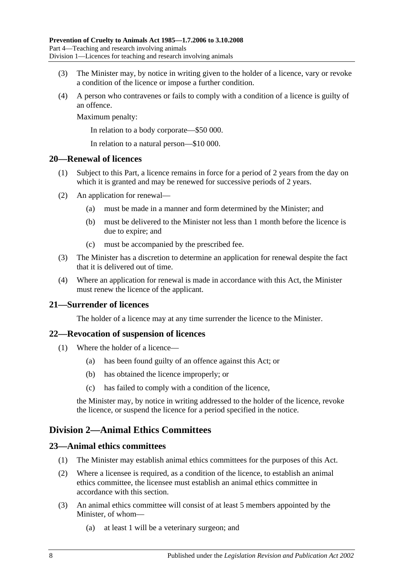- (3) The Minister may, by notice in writing given to the holder of a licence, vary or revoke a condition of the licence or impose a further condition.
- (4) A person who contravenes or fails to comply with a condition of a licence is guilty of an offence.

Maximum penalty:

In relation to a body corporate—\$50 000.

In relation to a natural person—\$10 000.

### <span id="page-7-0"></span>**20—Renewal of licences**

- (1) Subject to this Part, a licence remains in force for a period of 2 years from the day on which it is granted and may be renewed for successive periods of 2 years.
- (2) An application for renewal—
	- (a) must be made in a manner and form determined by the Minister; and
	- (b) must be delivered to the Minister not less than 1 month before the licence is due to expire; and
	- (c) must be accompanied by the prescribed fee.
- (3) The Minister has a discretion to determine an application for renewal despite the fact that it is delivered out of time.
- (4) Where an application for renewal is made in accordance with this Act, the Minister must renew the licence of the applicant.

## <span id="page-7-1"></span>**21—Surrender of licences**

The holder of a licence may at any time surrender the licence to the Minister.

## <span id="page-7-2"></span>**22—Revocation of suspension of licences**

- (1) Where the holder of a licence—
	- (a) has been found guilty of an offence against this Act; or
	- (b) has obtained the licence improperly; or
	- (c) has failed to comply with a condition of the licence,

the Minister may, by notice in writing addressed to the holder of the licence, revoke the licence, or suspend the licence for a period specified in the notice.

## <span id="page-7-3"></span>**Division 2—Animal Ethics Committees**

### <span id="page-7-4"></span>**23—Animal ethics committees**

- (1) The Minister may establish animal ethics committees for the purposes of this Act.
- (2) Where a licensee is required, as a condition of the licence, to establish an animal ethics committee, the licensee must establish an animal ethics committee in accordance with this section.
- <span id="page-7-5"></span>(3) An animal ethics committee will consist of at least 5 members appointed by the Minister, of whom—
	- (a) at least 1 will be a veterinary surgeon; and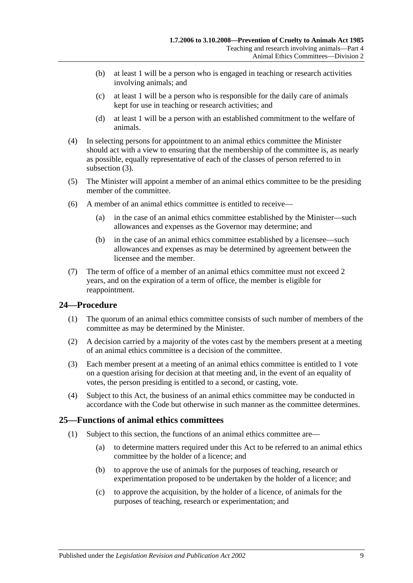- (b) at least 1 will be a person who is engaged in teaching or research activities involving animals; and
- (c) at least 1 will be a person who is responsible for the daily care of animals kept for use in teaching or research activities; and
- (d) at least 1 will be a person with an established commitment to the welfare of animals.
- (4) In selecting persons for appointment to an animal ethics committee the Minister should act with a view to ensuring that the membership of the committee is, as nearly as possible, equally representative of each of the classes of person referred to in [subsection](#page-7-5) (3).
- (5) The Minister will appoint a member of an animal ethics committee to be the presiding member of the committee.
- (6) A member of an animal ethics committee is entitled to receive—
	- (a) in the case of an animal ethics committee established by the Minister—such allowances and expenses as the Governor may determine; and
	- (b) in the case of an animal ethics committee established by a licensee—such allowances and expenses as may be determined by agreement between the licensee and the member.
- (7) The term of office of a member of an animal ethics committee must not exceed 2 years, and on the expiration of a term of office, the member is eligible for reappointment.

## <span id="page-8-0"></span>**24—Procedure**

- (1) The quorum of an animal ethics committee consists of such number of members of the committee as may be determined by the Minister.
- (2) A decision carried by a majority of the votes cast by the members present at a meeting of an animal ethics committee is a decision of the committee.
- (3) Each member present at a meeting of an animal ethics committee is entitled to 1 vote on a question arising for decision at that meeting and, in the event of an equality of votes, the person presiding is entitled to a second, or casting, vote.
- (4) Subject to this Act, the business of an animal ethics committee may be conducted in accordance with the Code but otherwise in such manner as the committee determines.

## <span id="page-8-1"></span>**25—Functions of animal ethics committees**

- (1) Subject to this section, the functions of an animal ethics committee are—
	- (a) to determine matters required under this Act to be referred to an animal ethics committee by the holder of a licence; and
	- (b) to approve the use of animals for the purposes of teaching, research or experimentation proposed to be undertaken by the holder of a licence; and
	- (c) to approve the acquisition, by the holder of a licence, of animals for the purposes of teaching, research or experimentation; and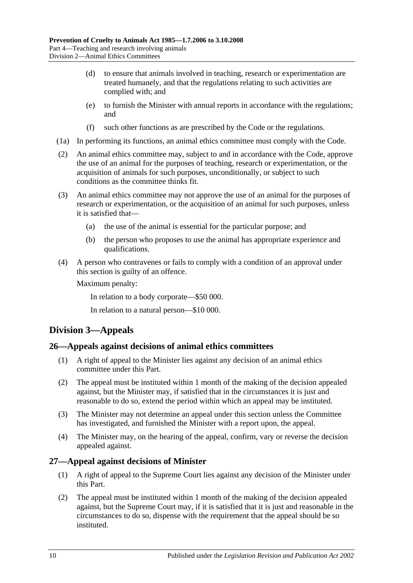- (d) to ensure that animals involved in teaching, research or experimentation are treated humanely, and that the regulations relating to such activities are complied with; and
- (e) to furnish the Minister with annual reports in accordance with the regulations; and
- (f) such other functions as are prescribed by the Code or the regulations.
- (1a) In performing its functions, an animal ethics committee must comply with the Code.
- (2) An animal ethics committee may, subject to and in accordance with the Code, approve the use of an animal for the purposes of teaching, research or experimentation, or the acquisition of animals for such purposes, unconditionally, or subject to such conditions as the committee thinks fit.
- (3) An animal ethics committee may not approve the use of an animal for the purposes of research or experimentation, or the acquisition of an animal for such purposes, unless it is satisfied that—
	- (a) the use of the animal is essential for the particular purpose; and
	- (b) the person who proposes to use the animal has appropriate experience and qualifications.
- (4) A person who contravenes or fails to comply with a condition of an approval under this section is guilty of an offence.

Maximum penalty:

In relation to a body corporate—\$50 000.

In relation to a natural person—\$10 000.

## <span id="page-9-0"></span>**Division 3—Appeals**

## <span id="page-9-1"></span>**26—Appeals against decisions of animal ethics committees**

- (1) A right of appeal to the Minister lies against any decision of an animal ethics committee under this Part.
- (2) The appeal must be instituted within 1 month of the making of the decision appealed against, but the Minister may, if satisfied that in the circumstances it is just and reasonable to do so, extend the period within which an appeal may be instituted.
- (3) The Minister may not determine an appeal under this section unless the Committee has investigated, and furnished the Minister with a report upon, the appeal.
- (4) The Minister may, on the hearing of the appeal, confirm, vary or reverse the decision appealed against.

## <span id="page-9-2"></span>**27—Appeal against decisions of Minister**

- (1) A right of appeal to the Supreme Court lies against any decision of the Minister under this Part.
- (2) The appeal must be instituted within 1 month of the making of the decision appealed against, but the Supreme Court may, if it is satisfied that it is just and reasonable in the circumstances to do so, dispense with the requirement that the appeal should be so instituted.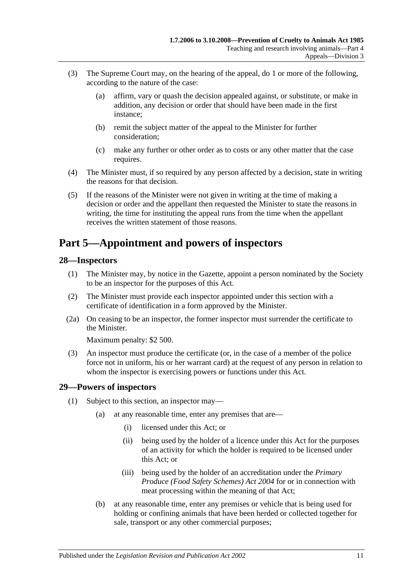- (3) The Supreme Court may, on the hearing of the appeal, do 1 or more of the following, according to the nature of the case:
	- (a) affirm, vary or quash the decision appealed against, or substitute, or make in addition, any decision or order that should have been made in the first instance;
	- (b) remit the subject matter of the appeal to the Minister for further consideration;
	- (c) make any further or other order as to costs or any other matter that the case requires.
- (4) The Minister must, if so required by any person affected by a decision, state in writing the reasons for that decision.
- (5) If the reasons of the Minister were not given in writing at the time of making a decision or order and the appellant then requested the Minister to state the reasons in writing, the time for instituting the appeal runs from the time when the appellant receives the written statement of those reasons.

## <span id="page-10-0"></span>**Part 5—Appointment and powers of inspectors**

## <span id="page-10-1"></span>**28—Inspectors**

- (1) The Minister may, by notice in the Gazette, appoint a person nominated by the Society to be an inspector for the purposes of this Act.
- (2) The Minister must provide each inspector appointed under this section with a certificate of identification in a form approved by the Minister.
- (2a) On ceasing to be an inspector, the former inspector must surrender the certificate to the Minister.

Maximum penalty: \$2 500.

(3) An inspector must produce the certificate (or, in the case of a member of the police force not in uniform, his or her warrant card) at the request of any person in relation to whom the inspector is exercising powers or functions under this Act.

## <span id="page-10-2"></span>**29—Powers of inspectors**

- <span id="page-10-4"></span><span id="page-10-3"></span>(1) Subject to this section, an inspector may—
	- (a) at any reasonable time, enter any premises that are—
		- (i) licensed under this Act; or
		- (ii) being used by the holder of a licence under this Act for the purposes of an activity for which the holder is required to be licensed under this Act; or
		- (iii) being used by the holder of an accreditation under the *[Primary](http://www.legislation.sa.gov.au/index.aspx?action=legref&type=act&legtitle=Primary%20Produce%20(Food%20Safety%20Schemes)%20Act%202004)  [Produce \(Food Safety Schemes\) Act](http://www.legislation.sa.gov.au/index.aspx?action=legref&type=act&legtitle=Primary%20Produce%20(Food%20Safety%20Schemes)%20Act%202004) 2004* for or in connection with meat processing within the meaning of that Act;
	- (b) at any reasonable time, enter any premises or vehicle that is being used for holding or confining animals that have been herded or collected together for sale, transport or any other commercial purposes;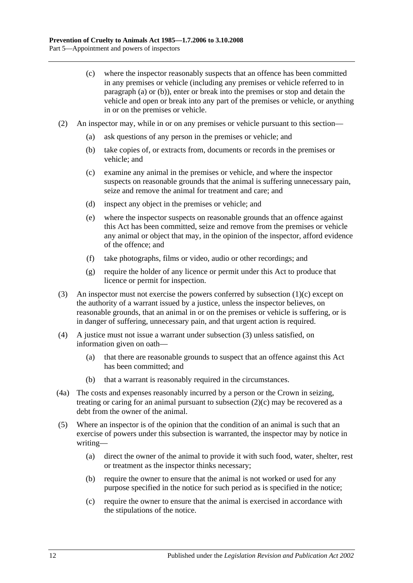- <span id="page-11-0"></span>(c) where the inspector reasonably suspects that an offence has been committed in any premises or vehicle (including any premises or vehicle referred to in [paragraph](#page-10-3) (a) or [\(b\)\)](#page-10-4), enter or break into the premises or stop and detain the vehicle and open or break into any part of the premises or vehicle, or anything in or on the premises or vehicle.
- <span id="page-11-2"></span>(2) An inspector may, while in or on any premises or vehicle pursuant to this section—
	- (a) ask questions of any person in the premises or vehicle; and
	- (b) take copies of, or extracts from, documents or records in the premises or vehicle; and
	- (c) examine any animal in the premises or vehicle, and where the inspector suspects on reasonable grounds that the animal is suffering unnecessary pain, seize and remove the animal for treatment and care; and
	- (d) inspect any object in the premises or vehicle; and
	- (e) where the inspector suspects on reasonable grounds that an offence against this Act has been committed, seize and remove from the premises or vehicle any animal or object that may, in the opinion of the inspector, afford evidence of the offence; and
	- (f) take photographs, films or video, audio or other recordings; and
	- (g) require the holder of any licence or permit under this Act to produce that licence or permit for inspection.
- <span id="page-11-1"></span>(3) An inspector must not exercise the powers conferred by [subsection](#page-11-0) (1)(c) except on the authority of a warrant issued by a justice, unless the inspector believes, on reasonable grounds, that an animal in or on the premises or vehicle is suffering, or is in danger of suffering, unnecessary pain, and that urgent action is required.
- (4) A justice must not issue a warrant under [subsection](#page-11-1) (3) unless satisfied, on information given on oath—
	- (a) that there are reasonable grounds to suspect that an offence against this Act has been committed; and
	- (b) that a warrant is reasonably required in the circumstances.
- (4a) The costs and expenses reasonably incurred by a person or the Crown in seizing, treating or caring for an animal pursuant to [subsection](#page-11-2)  $(2)(c)$  may be recovered as a debt from the owner of the animal.
- (5) Where an inspector is of the opinion that the condition of an animal is such that an exercise of powers under this subsection is warranted, the inspector may by notice in writing—
	- (a) direct the owner of the animal to provide it with such food, water, shelter, rest or treatment as the inspector thinks necessary;
	- (b) require the owner to ensure that the animal is not worked or used for any purpose specified in the notice for such period as is specified in the notice;
	- (c) require the owner to ensure that the animal is exercised in accordance with the stipulations of the notice.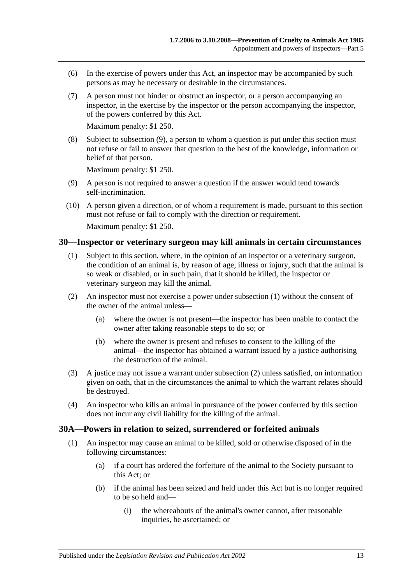- (6) In the exercise of powers under this Act, an inspector may be accompanied by such persons as may be necessary or desirable in the circumstances.
- (7) A person must not hinder or obstruct an inspector, or a person accompanying an inspector, in the exercise by the inspector or the person accompanying the inspector, of the powers conferred by this Act.

Maximum penalty: \$1 250.

(8) Subject to [subsection](#page-12-2) (9), a person to whom a question is put under this section must not refuse or fail to answer that question to the best of the knowledge, information or belief of that person.

Maximum penalty: \$1 250.

- <span id="page-12-2"></span>(9) A person is not required to answer a question if the answer would tend towards self-incrimination.
- (10) A person given a direction, or of whom a requirement is made, pursuant to this section must not refuse or fail to comply with the direction or requirement. Maximum penalty: \$1 250.

### <span id="page-12-3"></span><span id="page-12-0"></span>**30—Inspector or veterinary surgeon may kill animals in certain circumstances**

- (1) Subject to this section, where, in the opinion of an inspector or a veterinary surgeon, the condition of an animal is, by reason of age, illness or injury, such that the animal is so weak or disabled, or in such pain, that it should be killed, the inspector or veterinary surgeon may kill the animal.
- <span id="page-12-4"></span>(2) An inspector must not exercise a power under [subsection](#page-12-3) (1) without the consent of the owner of the animal unless—
	- (a) where the owner is not present—the inspector has been unable to contact the owner after taking reasonable steps to do so; or
	- (b) where the owner is present and refuses to consent to the killing of the animal—the inspector has obtained a warrant issued by a justice authorising the destruction of the animal.
- (3) A justice may not issue a warrant under [subsection](#page-12-4) (2) unless satisfied, on information given on oath, that in the circumstances the animal to which the warrant relates should be destroyed.
- (4) An inspector who kills an animal in pursuance of the power conferred by this section does not incur any civil liability for the killing of the animal.

### <span id="page-12-5"></span><span id="page-12-1"></span>**30A—Powers in relation to seized, surrendered or forfeited animals**

- (1) An inspector may cause an animal to be killed, sold or otherwise disposed of in the following circumstances:
	- (a) if a court has ordered the forfeiture of the animal to the Society pursuant to this Act; or
	- (b) if the animal has been seized and held under this Act but is no longer required to be so held and—
		- (i) the whereabouts of the animal's owner cannot, after reasonable inquiries, be ascertained; or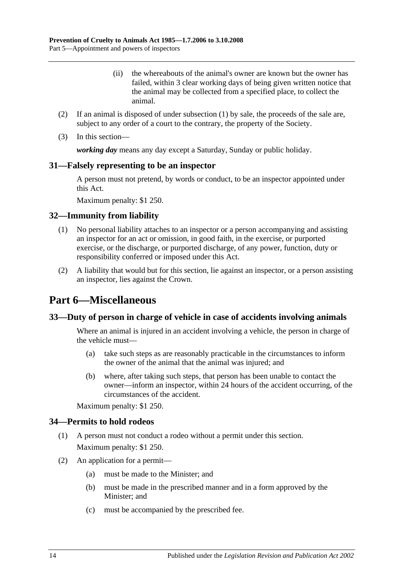- (ii) the whereabouts of the animal's owner are known but the owner has failed, within 3 clear working days of being given written notice that the animal may be collected from a specified place, to collect the animal.
- (2) If an animal is disposed of under [subsection](#page-12-5) (1) by sale, the proceeds of the sale are, subject to any order of a court to the contrary, the property of the Society.
- (3) In this section—

*working day* means any day except a Saturday, Sunday or public holiday.

### <span id="page-13-0"></span>**31—Falsely representing to be an inspector**

A person must not pretend, by words or conduct, to be an inspector appointed under this Act.

Maximum penalty: \$1 250.

### <span id="page-13-1"></span>**32—Immunity from liability**

- (1) No personal liability attaches to an inspector or a person accompanying and assisting an inspector for an act or omission, in good faith, in the exercise, or purported exercise, or the discharge, or purported discharge, of any power, function, duty or responsibility conferred or imposed under this Act.
- (2) A liability that would but for this section, lie against an inspector, or a person assisting an inspector, lies against the Crown.

## <span id="page-13-2"></span>**Part 6—Miscellaneous**

### <span id="page-13-3"></span>**33—Duty of person in charge of vehicle in case of accidents involving animals**

Where an animal is injured in an accident involving a vehicle, the person in charge of the vehicle must—

- (a) take such steps as are reasonably practicable in the circumstances to inform the owner of the animal that the animal was injured; and
- (b) where, after taking such steps, that person has been unable to contact the owner—inform an inspector, within 24 hours of the accident occurring, of the circumstances of the accident.

Maximum penalty: \$1 250.

### <span id="page-13-4"></span>**34—Permits to hold rodeos**

- (1) A person must not conduct a rodeo without a permit under this section. Maximum penalty: \$1 250.
- (2) An application for a permit—
	- (a) must be made to the Minister; and
	- (b) must be made in the prescribed manner and in a form approved by the Minister; and
	- (c) must be accompanied by the prescribed fee.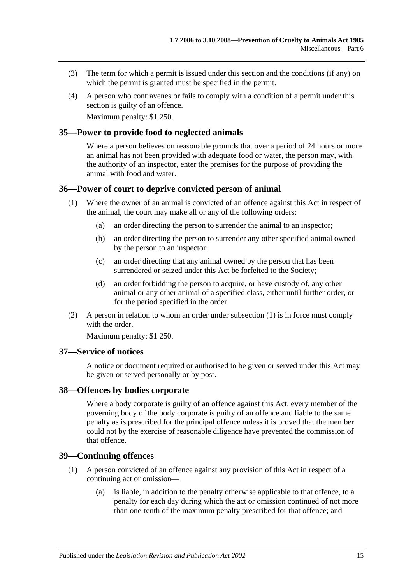- (3) The term for which a permit is issued under this section and the conditions (if any) on which the permit is granted must be specified in the permit.
- (4) A person who contravenes or fails to comply with a condition of a permit under this section is guilty of an offence.

Maximum penalty: \$1 250.

### <span id="page-14-0"></span>**35—Power to provide food to neglected animals**

Where a person believes on reasonable grounds that over a period of 24 hours or more an animal has not been provided with adequate food or water, the person may, with the authority of an inspector, enter the premises for the purpose of providing the animal with food and water.

### <span id="page-14-5"></span><span id="page-14-1"></span>**36—Power of court to deprive convicted person of animal**

- (1) Where the owner of an animal is convicted of an offence against this Act in respect of the animal, the court may make all or any of the following orders:
	- (a) an order directing the person to surrender the animal to an inspector;
	- (b) an order directing the person to surrender any other specified animal owned by the person to an inspector;
	- (c) an order directing that any animal owned by the person that has been surrendered or seized under this Act be forfeited to the Society;
	- (d) an order forbidding the person to acquire, or have custody of, any other animal or any other animal of a specified class, either until further order, or for the period specified in the order.
- (2) A person in relation to whom an order under [subsection](#page-14-5) (1) is in force must comply with the order

Maximum penalty: \$1 250.

#### <span id="page-14-2"></span>**37—Service of notices**

A notice or document required or authorised to be given or served under this Act may be given or served personally or by post.

### <span id="page-14-3"></span>**38—Offences by bodies corporate**

Where a body corporate is guilty of an offence against this Act, every member of the governing body of the body corporate is guilty of an offence and liable to the same penalty as is prescribed for the principal offence unless it is proved that the member could not by the exercise of reasonable diligence have prevented the commission of that offence.

### <span id="page-14-6"></span><span id="page-14-4"></span>**39—Continuing offences**

- (1) A person convicted of an offence against any provision of this Act in respect of a continuing act or omission—
	- (a) is liable, in addition to the penalty otherwise applicable to that offence, to a penalty for each day during which the act or omission continued of not more than one-tenth of the maximum penalty prescribed for that offence; and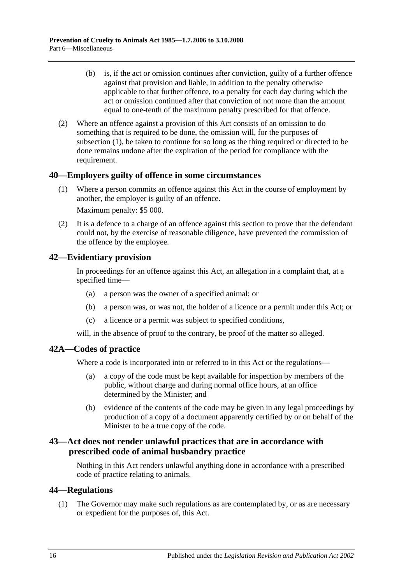- (b) is, if the act or omission continues after conviction, guilty of a further offence against that provision and liable, in addition to the penalty otherwise applicable to that further offence, to a penalty for each day during which the act or omission continued after that conviction of not more than the amount equal to one-tenth of the maximum penalty prescribed for that offence.
- (2) Where an offence against a provision of this Act consists of an omission to do something that is required to be done, the omission will, for the purposes of [subsection](#page-14-6) (1), be taken to continue for so long as the thing required or directed to be done remains undone after the expiration of the period for compliance with the requirement.

## <span id="page-15-0"></span>**40—Employers guilty of offence in some circumstances**

(1) Where a person commits an offence against this Act in the course of employment by another, the employer is guilty of an offence.

Maximum penalty: \$5 000.

(2) It is a defence to a charge of an offence against this section to prove that the defendant could not, by the exercise of reasonable diligence, have prevented the commission of the offence by the employee.

## <span id="page-15-1"></span>**42—Evidentiary provision**

In proceedings for an offence against this Act, an allegation in a complaint that, at a specified time—

- (a) a person was the owner of a specified animal; or
- (b) a person was, or was not, the holder of a licence or a permit under this Act; or
- (c) a licence or a permit was subject to specified conditions,

will, in the absence of proof to the contrary, be proof of the matter so alleged.

## <span id="page-15-2"></span>**42A—Codes of practice**

Where a code is incorporated into or referred to in this Act or the regulations—

- (a) a copy of the code must be kept available for inspection by members of the public, without charge and during normal office hours, at an office determined by the Minister; and
- (b) evidence of the contents of the code may be given in any legal proceedings by production of a copy of a document apparently certified by or on behalf of the Minister to be a true copy of the code.

## <span id="page-15-3"></span>**43—Act does not render unlawful practices that are in accordance with prescribed code of animal husbandry practice**

Nothing in this Act renders unlawful anything done in accordance with a prescribed code of practice relating to animals.

## <span id="page-15-5"></span><span id="page-15-4"></span>**44—Regulations**

(1) The Governor may make such regulations as are contemplated by, or as are necessary or expedient for the purposes of, this Act.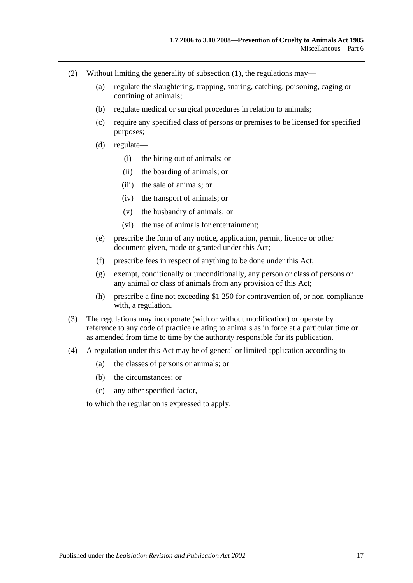- (2) Without limiting the generality of [subsection](#page-15-5) (1), the regulations may—
	- (a) regulate the slaughtering, trapping, snaring, catching, poisoning, caging or confining of animals;
	- (b) regulate medical or surgical procedures in relation to animals;
	- (c) require any specified class of persons or premises to be licensed for specified purposes;
	- (d) regulate—
		- (i) the hiring out of animals; or
		- (ii) the boarding of animals; or
		- (iii) the sale of animals; or
		- (iv) the transport of animals; or
		- (v) the husbandry of animals; or
		- (vi) the use of animals for entertainment;
	- (e) prescribe the form of any notice, application, permit, licence or other document given, made or granted under this Act;
	- (f) prescribe fees in respect of anything to be done under this Act;
	- (g) exempt, conditionally or unconditionally, any person or class of persons or any animal or class of animals from any provision of this Act;
	- (h) prescribe a fine not exceeding \$1 250 for contravention of, or non-compliance with, a regulation.
- (3) The regulations may incorporate (with or without modification) or operate by reference to any code of practice relating to animals as in force at a particular time or as amended from time to time by the authority responsible for its publication.
- (4) A regulation under this Act may be of general or limited application according to—
	- (a) the classes of persons or animals; or
	- (b) the circumstances; or
	- (c) any other specified factor,

to which the regulation is expressed to apply.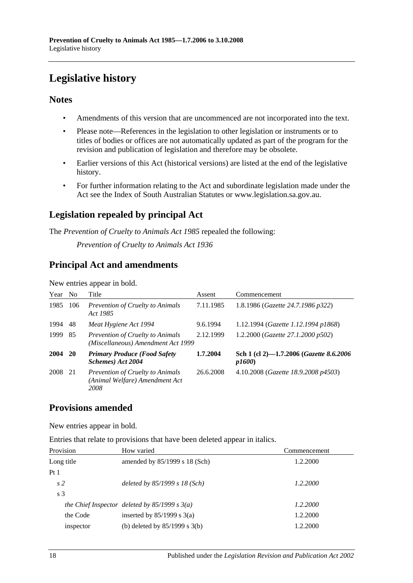## <span id="page-17-0"></span>**Legislative history**

## **Notes**

- Amendments of this version that are uncommenced are not incorporated into the text.
- Please note—References in the legislation to other legislation or instruments or to titles of bodies or offices are not automatically updated as part of the program for the revision and publication of legislation and therefore may be obsolete.
- Earlier versions of this Act (historical versions) are listed at the end of the legislative history.
- For further information relating to the Act and subordinate legislation made under the Act see the Index of South Australian Statutes or www.legislation.sa.gov.au.

## **Legislation repealed by principal Act**

The *Prevention of Cruelty to Animals Act 1985* repealed the following:

*Prevention of Cruelty to Animals Act 1936*

## **Principal Act and amendments**

New entries appear in bold.

| Year | N <sub>o</sub> | Title                                                                             | Assent    | Commencement                                     |
|------|----------------|-----------------------------------------------------------------------------------|-----------|--------------------------------------------------|
| 1985 | 106            | Prevention of Cruelty to Animals<br>Act 1985                                      | 7.11.1985 | 1.8.1986 (Gazette 24.7.1986 p322)                |
| 1994 | 48             | Meat Hygiene Act 1994                                                             | 9.6.1994  | 1.12.1994 ( <i>Gazette 1.12.1994 p1868</i> )     |
| 1999 | 85             | <i>Prevention of Cruelty to Animals</i><br>(Miscellaneous) Amendment Act 1999     | 2.12.1999 | 1.2.2000 (Gazette 27.1.2000 p502)                |
| 2004 | <b>20</b>      | <b>Primary Produce (Food Safety</b><br>Schemes) Act 2004                          | 1.7.2004  | Sch 1 (cl 2)-1.7.2006 (Gazette 8.6.2006<br>p1600 |
| 2008 | 21             | <b>Prevention of Cruelty to Animals</b><br>(Animal Welfare) Amendment Act<br>2008 | 26.6.2008 | 4.10.2008 (Gazette 18.9.2008 p4503)              |

## **Provisions amended**

New entries appear in bold.

Entries that relate to provisions that have been deleted appear in italics.

| Provision       | How varied                                      | Commencement |
|-----------------|-------------------------------------------------|--------------|
| Long title      | amended by $85/1999$ s 18 (Sch)                 | 1.2.2000     |
| Pt <sub>1</sub> |                                                 |              |
| s <sub>2</sub>  | deleted by $85/1999 s 18 (Sch)$                 | 1.2.2000     |
| s <sub>3</sub>  |                                                 |              |
|                 | the Chief Inspector deleted by $85/1999 s 3(a)$ | 1.2.2000     |
| the Code        | inserted by $85/1999$ s 3(a)                    | 1.2.2000     |
| inspector       | (b) deleted by $85/1999$ s $3(b)$               | 1.2.2000     |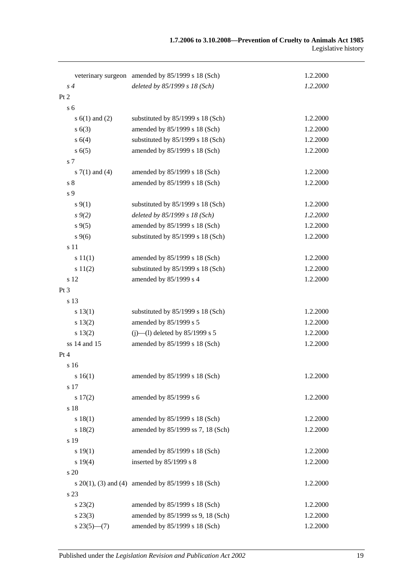|                 |                    | veterinary surgeon amended by 85/1999 s 18 (Sch)        | 1.2.2000 |
|-----------------|--------------------|---------------------------------------------------------|----------|
|                 | s <sub>4</sub>     | deleted by 85/1999 s 18 (Sch)                           | 1.2.2000 |
| Pt <sub>2</sub> |                    |                                                         |          |
|                 | s <sub>6</sub>     |                                                         |          |
|                 | s $6(1)$ and $(2)$ | substituted by 85/1999 s 18 (Sch)                       | 1.2.2000 |
|                 | s(6(3))            | amended by 85/1999 s 18 (Sch)                           | 1.2.2000 |
|                 | s 6(4)             | substituted by 85/1999 s 18 (Sch)                       | 1.2.2000 |
|                 | s(6(5)             | amended by 85/1999 s 18 (Sch)                           | 1.2.2000 |
|                 | s 7                |                                                         |          |
|                 | s $7(1)$ and $(4)$ | amended by 85/1999 s 18 (Sch)                           | 1.2.2000 |
|                 | s <sub>8</sub>     | amended by 85/1999 s 18 (Sch)                           | 1.2.2000 |
|                 | s 9                |                                                         |          |
|                 | $s\,9(1)$          | substituted by 85/1999 s 18 (Sch)                       | 1.2.2000 |
|                 | $s \, 9(2)$        | deleted by 85/1999 s 18 (Sch)                           | 1.2.2000 |
|                 | $s \, 9(5)$        | amended by 85/1999 s 18 (Sch)                           | 1.2.2000 |
|                 | $s \, 9(6)$        | substituted by 85/1999 s 18 (Sch)                       | 1.2.2000 |
|                 | s 11               |                                                         |          |
|                 | s 11(1)            | amended by 85/1999 s 18 (Sch)                           | 1.2.2000 |
|                 | s 11(2)            | substituted by 85/1999 s 18 (Sch)                       | 1.2.2000 |
|                 | s 12               | amended by 85/1999 s 4                                  | 1.2.2000 |
| Pt 3            |                    |                                                         |          |
|                 | s 13               |                                                         |          |
|                 | s 13(1)            | substituted by 85/1999 s 18 (Sch)                       | 1.2.2000 |
|                 | s 13(2)            | amended by 85/1999 s 5                                  | 1.2.2000 |
|                 | s 13(2)            | $(i)$ —(1) deleted by 85/1999 s 5                       | 1.2.2000 |
|                 | ss 14 and 15       | amended by 85/1999 s 18 (Sch)                           | 1.2.2000 |
| Pt 4            |                    |                                                         |          |
|                 | s 16               |                                                         |          |
|                 | s16(1)             | amended by 85/1999 s 18 (Sch)                           | 1.2.2000 |
|                 | s 17               |                                                         |          |
|                 | 17(2)              | amended by 85/1999 s 6                                  | 1.2.2000 |
|                 | s 18               |                                                         |          |
|                 | s 18(1)            | amended by 85/1999 s 18 (Sch)                           | 1.2.2000 |
|                 | s 18(2)            | amended by 85/1999 ss 7, 18 (Sch)                       | 1.2.2000 |
|                 | s 19               |                                                         |          |
|                 | s 19(1)            | amended by 85/1999 s 18 (Sch)                           | 1.2.2000 |
|                 | s 19(4)            | inserted by 85/1999 s 8                                 | 1.2.2000 |
|                 | s 20               |                                                         |          |
|                 |                    | s $20(1)$ , (3) and (4) amended by $85/1999$ s 18 (Sch) | 1.2.2000 |
|                 | s 23               |                                                         |          |
|                 | $s\,23(2)$         | amended by 85/1999 s 18 (Sch)                           | 1.2.2000 |
|                 | $s\,23(3)$         | amended by 85/1999 ss 9, 18 (Sch)                       | 1.2.2000 |
|                 | $s23(5)$ – (7)     | amended by 85/1999 s 18 (Sch)                           | 1.2.2000 |
|                 |                    |                                                         |          |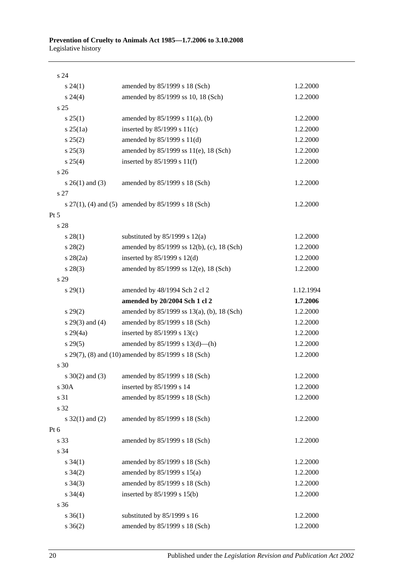| s 24                 |                                                         |           |
|----------------------|---------------------------------------------------------|-----------|
| $s\,24(1)$           | amended by 85/1999 s 18 (Sch)                           | 1.2.2000  |
| $s\,24(4)$           | amended by 85/1999 ss 10, 18 (Sch)                      | 1.2.2000  |
| s <sub>25</sub>      |                                                         |           |
| $s \, 25(1)$         | amended by $85/1999$ s $11(a)$ , (b)                    | 1.2.2000  |
| $s \, 25(1a)$        | inserted by $85/1999$ s $11(c)$                         | 1.2.2000  |
| s 25(2)              | amended by 85/1999 s 11(d)                              | 1.2.2000  |
| $s\,25(3)$           | amended by 85/1999 ss 11(e), 18 (Sch)                   | 1.2.2000  |
| $s \; 25(4)$         | inserted by $85/1999$ s $11(f)$                         | 1.2.2000  |
| s <sub>26</sub>      |                                                         |           |
| $s \; 26(1)$ and (3) | amended by 85/1999 s 18 (Sch)                           | 1.2.2000  |
| s 27                 |                                                         |           |
|                      | s $27(1)$ , (4) and (5) amended by $85/1999$ s 18 (Sch) | 1.2.2000  |
| $Pt\,5$              |                                                         |           |
| s 28                 |                                                         |           |
| $s\,28(1)$           | substituted by $85/1999$ s $12(a)$                      | 1.2.2000  |
| $s\,28(2)$           | amended by 85/1999 ss 12(b), (c), 18 (Sch)              | 1.2.2000  |
| $s \; 28(2a)$        | inserted by $85/1999$ s $12(d)$                         | 1.2.2000  |
| $s\,28(3)$           | amended by 85/1999 ss 12(e), 18 (Sch)                   | 1.2.2000  |
| s 29                 |                                                         |           |
| $s\,29(1)$           | amended by 48/1994 Sch 2 cl 2                           | 1.12.1994 |
|                      | amended by 20/2004 Sch 1 cl 2                           | 1.7.2006  |
| $s\,29(2)$           | amended by 85/1999 ss 13(a), (b), 18 (Sch)              | 1.2.2000  |
| $s$ 29(3) and (4)    | amended by 85/1999 s 18 (Sch)                           | 1.2.2000  |
| $s\,29(4a)$          | inserted by $85/1999$ s $13(c)$                         | 1.2.2000  |
| $s\,29(5)$           | amended by $85/1999$ s $13(d)$ —(h)                     | 1.2.2000  |
|                      | s 29(7), (8) and (10) amended by 85/1999 s 18 (Sch)     | 1.2.2000  |
| s 30                 |                                                         |           |
| $s \ 30(2)$ and (3)  | amended by 85/1999 s 18 (Sch)                           | 1.2.2000  |
| s 30A                | inserted by 85/1999 s 14                                | 1.2.2000  |
| s 31                 | amended by 85/1999 s 18 (Sch)                           | 1.2.2000  |
| s 32                 |                                                         |           |
| s $32(1)$ and (2)    | amended by 85/1999 s 18 (Sch)                           | 1.2.2000  |
| Pt 6                 |                                                         |           |
| s 33                 | amended by 85/1999 s 18 (Sch)                           | 1.2.2000  |
| s 34                 |                                                         |           |
| $s \, 34(1)$         | amended by 85/1999 s 18 (Sch)                           | 1.2.2000  |
| $s \; 34(2)$         | amended by 85/1999 s 15(a)                              | 1.2.2000  |
| $s \; 34(3)$         | amended by 85/1999 s 18 (Sch)                           | 1.2.2000  |
| $s \; 34(4)$         | inserted by 85/1999 s 15(b)                             | 1.2.2000  |
| s 36                 |                                                         |           |
| $s \; 36(1)$         | substituted by 85/1999 s 16                             | 1.2.2000  |
| $s \; 36(2)$         | amended by 85/1999 s 18 (Sch)                           | 1.2.2000  |